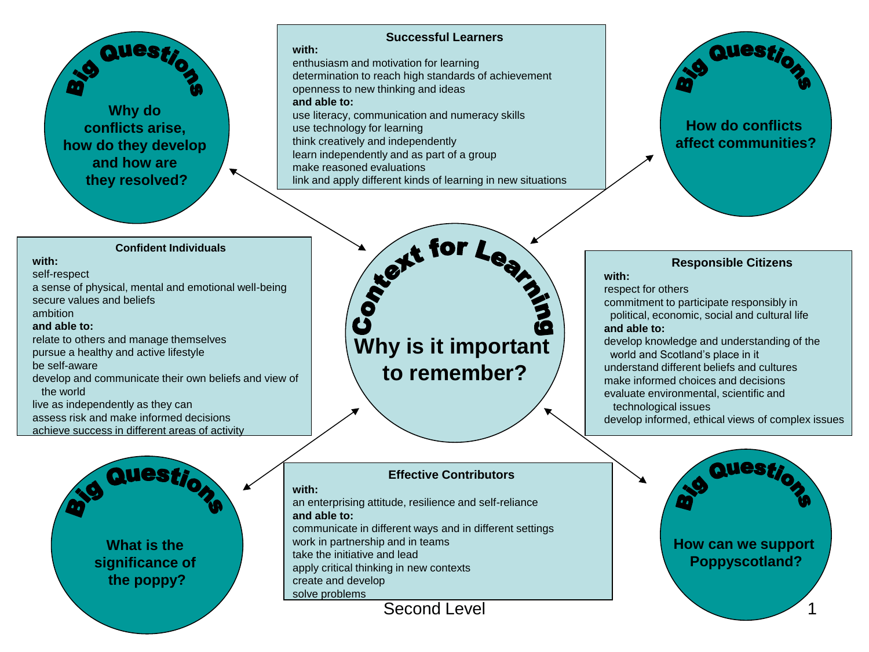### **Successful Learners**

enthusiasm and motivation for learning determination to reach high standards of achievement openness to new thinking and ideas **and able to:** use literacy, communication and numeracy skills use technology for learning think creatively and independently learn independently and as part of a group make reasoned evaluations link and apply different kinds of learning in new situations



#### **Confident Individuals**

### **with:**

self-respect

a sense of physical, mental and emotional well-being secure values and beliefs ambition **and able to:** relate to others and manage themselves pursue a healthy and active lifestyle

be self-aware

develop and communicate their own beliefs and view of the world

live as independently as they can assess risk and make informed decisions

**Why do conflicts arise, how do they develop and how are they resolved?**

achieve success in different areas of activity



t for Le **RE Why is it important to remember?**

### **Effective Contributors**

### **with:**

**with:**

an enterprising attitude, resilience and self-reliance **and able to:** communicate in different ways and in different settings

work in partnership and in teams

take the initiative and lead

apply critical thinking in new contexts

create and develop solve problems

Second Level

## **Responsible Citizens**

**with:**

respect for others

commitment to participate responsibly in

 political, economic, social and cultural life **and able to:**

develop knowledge and understanding of the world and Scotland's place in it understand different beliefs and cultures make informed choices and decisions evaluate environmental, scientific and

technological issues

develop informed, ethical views of complex issues

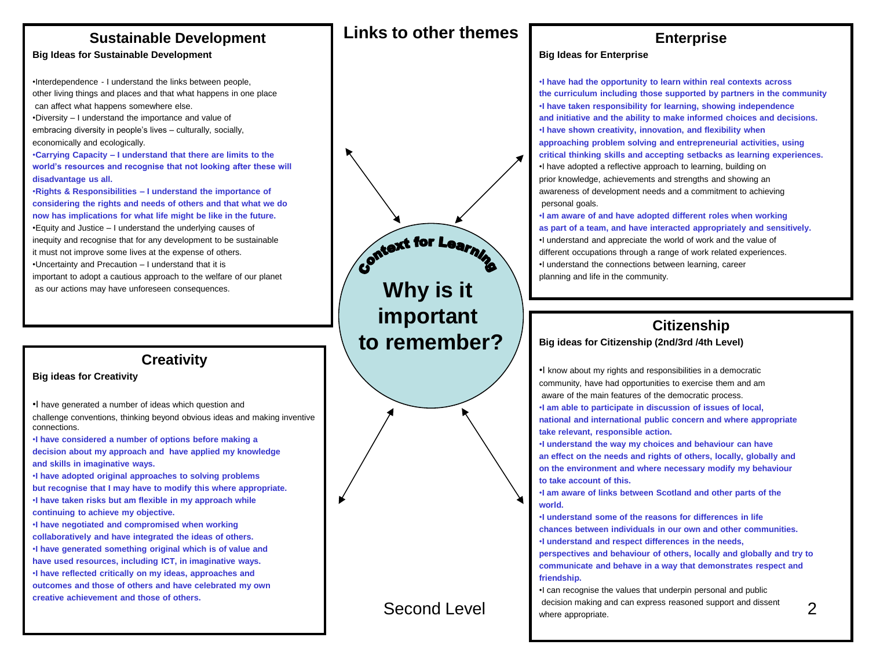# **Sustainable Development**

### **Big Ideas for Sustainable Development**

•Interdependence - I understand the links between people, other living things and places and that what happens in one place can affect what happens somewhere else. •Diversity – I understand the importance and value of embracing diversity in people's lives – culturally, socially, economically and ecologically. •**Carrying Capacity – I understand that there are limits to the**

**world's resources and recognise that not looking after these will disadvantage us all.**

•**Rights & Responsibilities – I understand the importance of considering the rights and needs of others and that what we do now has implications for what life might be like in the future.** •Equity and Justice – I understand the underlying causes of inequity and recognise that for any development to be sustainable it must not improve some lives at the expense of others. •Uncertainty and Precaution – I understand that it is important to adopt a cautious approach to the welfare of our planet as our actions may have unforeseen consequences.

## **Creativity**

#### **Big ideas for Creativity**

•I have generated a number of ideas which question and challenge conventions, thinking beyond obvious ideas and making inventive connections.

•**I have considered a number of options before making a decision about my approach and have applied my knowledge and skills in imaginative ways.**

•**I have adopted original approaches to solving problems but recognise that I may have to modify this where appropriate.** •**I have taken risks but am flexible in my approach while continuing to achieve my objective.**

•**I have negotiated and compromised when working collaboratively and have integrated the ideas of others.** •**I have generated something original which is of value and have used resources, including ICT, in imaginative ways.**

•**I have reflected critically on my ideas, approaches and outcomes and those of others and have celebrated my own creative achievement and those of others.**

context for Learning **Why is it important to remember?**

**Links to other themes**

# **Enterprise**

#### **Big Ideas for Enterprise**

•**I have had the opportunity to learn within real contexts across the curriculum including those supported by partners in the community** •**I have taken responsibility for learning, showing independence and initiative and the ability to make informed choices and decisions.** •**I have shown creativity, innovation, and flexibility when approaching problem solving and entrepreneurial activities, using critical thinking skills and accepting setbacks as learning experiences.** •I have adopted a reflective approach to learning, building on prior knowledge, achievements and strengths and showing an awareness of development needs and a commitment to achieving personal goals.

•**I am aware of and have adopted different roles when working as part of a team, and have interacted appropriately and sensitively.** •I understand and appreciate the world of work and the value of different occupations through a range of work related experiences. •I understand the connections between learning, career planning and life in the community.

## **Citizenship**

#### **Big ideas for Citizenship (2nd/3rd /4th Level)**

•I know about my rights and responsibilities in a democratic community, have had opportunities to exercise them and am aware of the main features of the democratic process.

•**I am able to participate in discussion of issues of local,** 

**national and international public concern and where appropriate take relevant, responsible action.**

•**I understand the way my choices and behaviour can have an effect on the needs and rights of others, locally, globally and on the environment and where necessary modify my behaviour to take account of this.**

•**I am aware of links between Scotland and other parts of the world.**

•**I understand some of the reasons for differences in life chances between individuals in our own and other communities.** •**I understand and respect differences in the needs,** 

**perspectives and behaviour of others, locally and globally and try to communicate and behave in a way that demonstrates respect and friendship.**

Second Level **Example 2** decision making and can express reasoned support and dissent •I can recognise the values that underpin personal and public decision making and can express reasoned support and dissent where appropriate.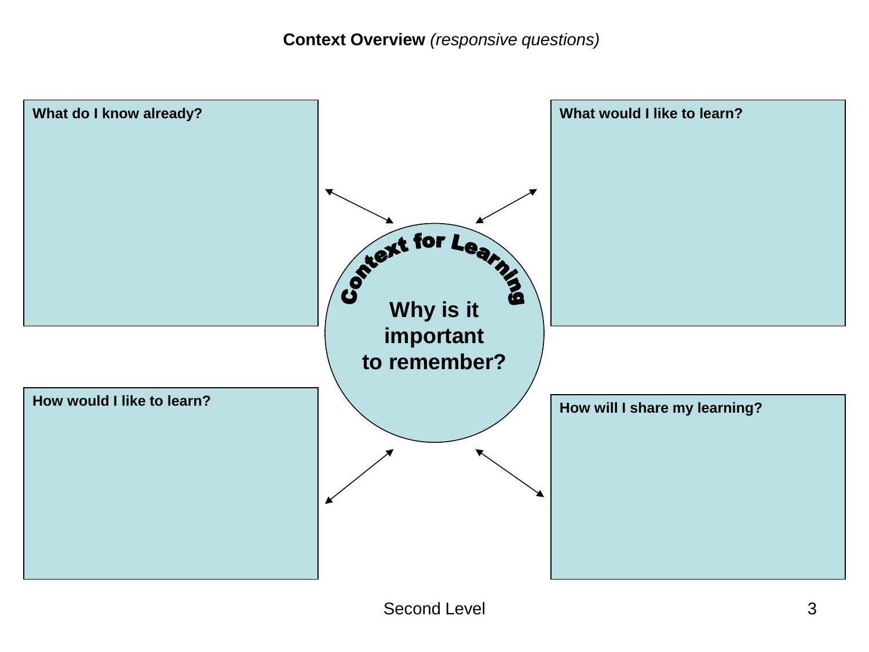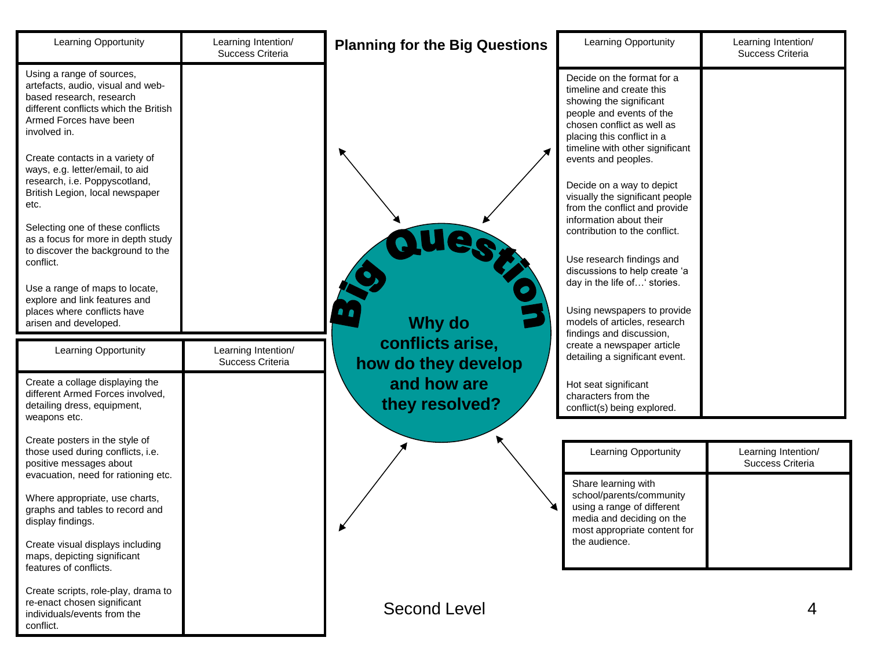| <b>Learning Opportunity</b>                                                                                                                                                                                                                                                                                                                                                                                                                                                                                                                                                                                    | Learning Intention/<br>Success Criteria | <b>Planning for the Big Questions</b>             | Learning Opportunity                                                                                                                                                                                                                                                                                                                                                                                                                                                                                                                                                                                                                                      | Learning Intention/<br>Success Criteria |
|----------------------------------------------------------------------------------------------------------------------------------------------------------------------------------------------------------------------------------------------------------------------------------------------------------------------------------------------------------------------------------------------------------------------------------------------------------------------------------------------------------------------------------------------------------------------------------------------------------------|-----------------------------------------|---------------------------------------------------|-----------------------------------------------------------------------------------------------------------------------------------------------------------------------------------------------------------------------------------------------------------------------------------------------------------------------------------------------------------------------------------------------------------------------------------------------------------------------------------------------------------------------------------------------------------------------------------------------------------------------------------------------------------|-----------------------------------------|
| Using a range of sources,<br>artefacts, audio, visual and web-<br>based research, research<br>different conflicts which the British<br>Armed Forces have been<br>involved in.<br>Create contacts in a variety of<br>ways, e.g. letter/email, to aid<br>research, i.e. Poppyscotland,<br>British Legion, local newspaper<br>etc.<br>Selecting one of these conflicts<br>as a focus for more in depth study<br>to discover the background to the<br>conflict.<br>Use a range of maps to locate,<br>explore and link features and<br>places where conflicts have<br>arisen and developed.<br>Learning Opportunity | Learning Intention/<br>Success Criteria | Why do<br>conflicts arise,<br>how do they develop | Decide on the format for a<br>timeline and create this<br>showing the significant<br>people and events of the<br>chosen conflict as well as<br>placing this conflict in a<br>timeline with other significant<br>events and peoples.<br>Decide on a way to depict<br>visually the significant people<br>from the conflict and provide<br>information about their<br>contribution to the conflict.<br>Use research findings and<br>discussions to help create 'a<br>day in the life of' stories.<br>Using newspapers to provide<br>models of articles, research<br>findings and discussion,<br>create a newspaper article<br>detailing a significant event. |                                         |
| Create a collage displaying the<br>different Armed Forces involved,<br>detailing dress, equipment,<br>weapons etc.                                                                                                                                                                                                                                                                                                                                                                                                                                                                                             |                                         | and how are<br>they resolved?                     | Hot seat significant<br>characters from the<br>conflict(s) being explored.                                                                                                                                                                                                                                                                                                                                                                                                                                                                                                                                                                                |                                         |
| Create posters in the style of<br>those used during conflicts, i.e.<br>positive messages about                                                                                                                                                                                                                                                                                                                                                                                                                                                                                                                 |                                         |                                                   | Learning Opportunity                                                                                                                                                                                                                                                                                                                                                                                                                                                                                                                                                                                                                                      | Learning Intention/<br>Success Criteria |
| evacuation, need for rationing etc.<br>Where appropriate, use charts,<br>graphs and tables to record and<br>display findings.<br>Create visual displays including                                                                                                                                                                                                                                                                                                                                                                                                                                              |                                         |                                                   | Share learning with<br>school/parents/community<br>using a range of different<br>media and deciding on the<br>most appropriate content for<br>the audience.                                                                                                                                                                                                                                                                                                                                                                                                                                                                                               |                                         |
| maps, depicting significant<br>features of conflicts.                                                                                                                                                                                                                                                                                                                                                                                                                                                                                                                                                          |                                         |                                                   |                                                                                                                                                                                                                                                                                                                                                                                                                                                                                                                                                                                                                                                           |                                         |
| Create scripts, role-play, drama to<br>re-enact chosen significant<br>individuals/events from the<br>conflict.                                                                                                                                                                                                                                                                                                                                                                                                                                                                                                 |                                         | <b>Second Level</b>                               |                                                                                                                                                                                                                                                                                                                                                                                                                                                                                                                                                                                                                                                           |                                         |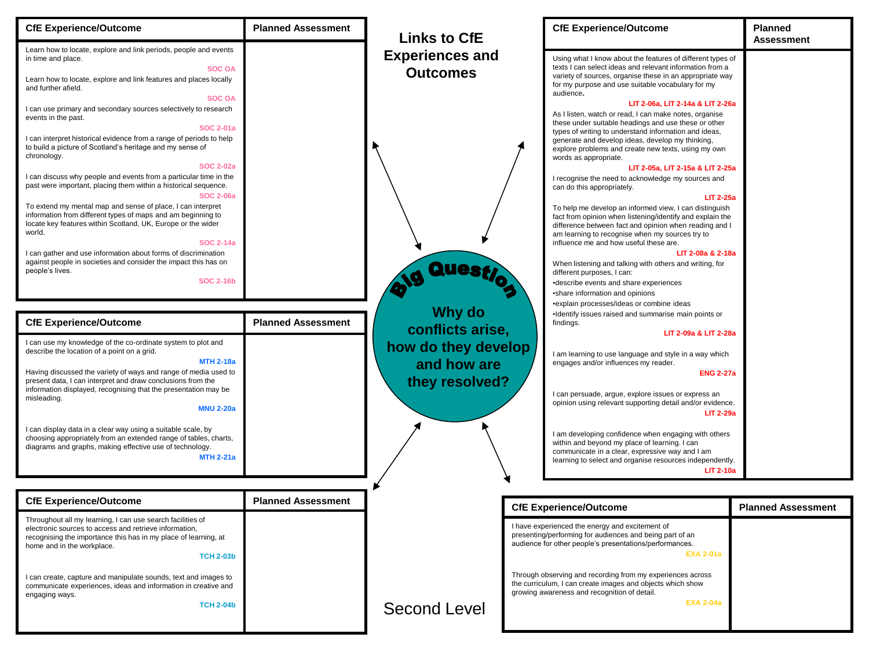| <b>CfE Experience/Outcome</b>                                                                                                                                                                                                                                                                                                                                                                                                                                                                                                                                                                                                                                                                                                                                                                                                                                           | <b>Planned Assessment</b> | <b>Links to CfE</b>                                                      | <b>CfE Experience/Outcome</b>                                                                                                                                                                                                                                                                                                                                                                                                                                                                                                                                                                                                                                                                                                                                                                                                                                                                                                                  | <b>Planned</b><br><b>Assessment</b> |
|-------------------------------------------------------------------------------------------------------------------------------------------------------------------------------------------------------------------------------------------------------------------------------------------------------------------------------------------------------------------------------------------------------------------------------------------------------------------------------------------------------------------------------------------------------------------------------------------------------------------------------------------------------------------------------------------------------------------------------------------------------------------------------------------------------------------------------------------------------------------------|---------------------------|--------------------------------------------------------------------------|------------------------------------------------------------------------------------------------------------------------------------------------------------------------------------------------------------------------------------------------------------------------------------------------------------------------------------------------------------------------------------------------------------------------------------------------------------------------------------------------------------------------------------------------------------------------------------------------------------------------------------------------------------------------------------------------------------------------------------------------------------------------------------------------------------------------------------------------------------------------------------------------------------------------------------------------|-------------------------------------|
| Learn how to locate, explore and link periods, people and events<br>in time and place.<br><b>SOC OA</b><br>Learn how to locate, explore and link features and places locally<br>and further afield.                                                                                                                                                                                                                                                                                                                                                                                                                                                                                                                                                                                                                                                                     |                           | <b>Experiences and</b><br><b>Outcomes</b>                                | Using what I know about the features of different types of<br>texts I can select ideas and relevant information from a<br>variety of sources, organise these in an appropriate way<br>for my purpose and use suitable vocabulary for my                                                                                                                                                                                                                                                                                                                                                                                                                                                                                                                                                                                                                                                                                                        |                                     |
| <b>SOC OA</b><br>I can use primary and secondary sources selectively to research<br>events in the past.<br><b>SOC 2-01a</b><br>I can interpret historical evidence from a range of periods to help<br>to build a picture of Scotland's heritage and my sense of<br>chronology.<br><b>SOC 2-02a</b><br>I can discuss why people and events from a particular time in the<br>past were important, placing them within a historical sequence.<br><b>SOC 2-06a</b><br>To extend my mental map and sense of place, I can interpret<br>information from different types of maps and am beginning to<br>locate key features within Scotland, UK, Europe or the wider<br>world.<br><b>SOC 2-14a</b><br>I can gather and use information about forms of discrimination<br>against people in societies and consider the impact this has on<br>people's lives.<br><b>SOC 2-16b</b> |                           | Quest                                                                    | audience.<br>LIT 2-06a, LIT 2-14a & LIT 2-26a<br>As I listen, watch or read, I can make notes, organise<br>these under suitable headings and use these or other<br>types of writing to understand information and ideas,<br>generate and develop ideas, develop my thinking,<br>explore problems and create new texts, using my own<br>words as appropriate.<br>LIT 2-05a, LIT 2-15a & LIT 2-25a<br>I recognise the need to acknowledge my sources and<br>can do this appropriately.<br><b>LIT 2-25a</b><br>To help me develop an informed view, I can distinguish<br>fact from opinion when listening/identify and explain the<br>difference between fact and opinion when reading and I<br>am learning to recognise when my sources try to<br>influence me and how useful these are.<br>LIT 2-08a & 2-18a<br>When listening and talking with others and writing, for<br>different purposes, I can:<br>•describe events and share experiences |                                     |
| <b>CfE Experience/Outcome</b>                                                                                                                                                                                                                                                                                                                                                                                                                                                                                                                                                                                                                                                                                                                                                                                                                                           | <b>Planned Assessment</b> | <b>Why do</b>                                                            | •share information and opinions<br>•explain processes/ideas or combine ideas<br>•Identify issues raised and summarise main points or<br>findings.                                                                                                                                                                                                                                                                                                                                                                                                                                                                                                                                                                                                                                                                                                                                                                                              |                                     |
| I can use my knowledge of the co-ordinate system to plot and<br>describe the location of a point on a grid.<br><b>MTH 2-18a</b><br>Having discussed the variety of ways and range of media used to<br>present data, I can interpret and draw conclusions from the<br>information displayed, recognising that the presentation may be<br>misleading.<br><b>MNU 2-20a</b><br>I can display data in a clear way using a suitable scale, by<br>choosing appropriately from an extended range of tables, charts,<br>diagrams and graphs, making effective use of technology.<br><b>MTH 2-21a</b>                                                                                                                                                                                                                                                                             |                           | conflicts arise,<br>how do they develop<br>and how are<br>they resolved? | LIT 2-09a & LIT 2-28a<br>I am learning to use language and style in a way which<br>engages and/or influences my reader.<br><b>ENG 2-27a</b><br>I can persuade, argue, explore issues or express an<br>opinion using relevant supporting detail and/or evidence.<br><b>LIT 2-29a</b><br>I am developing confidence when engaging with others<br>within and beyond my place of learning. I can<br>communicate in a clear, expressive way and I am<br>learning to select and organise resources independently.<br><b>LIT 2-10a</b>                                                                                                                                                                                                                                                                                                                                                                                                                |                                     |
| <b>CfE Experience/Outcome</b>                                                                                                                                                                                                                                                                                                                                                                                                                                                                                                                                                                                                                                                                                                                                                                                                                                           | <b>Planned Assessment</b> |                                                                          |                                                                                                                                                                                                                                                                                                                                                                                                                                                                                                                                                                                                                                                                                                                                                                                                                                                                                                                                                |                                     |
| Throughout all my learning, I can use search facilities of<br>electronic sources to access and retrieve information,<br>recognising the importance this has in my place of learning, at<br>home and in the workplace.<br><b>TCH 2-03b</b><br>I can create, capture and manipulate sounds, text and images to<br>communicate experiences, ideas and information in creative and<br>engaging ways.                                                                                                                                                                                                                                                                                                                                                                                                                                                                        |                           |                                                                          | <b>CfE Experience/Outcome</b><br>I have experienced the energy and excitement of<br>presenting/performing for audiences and being part of an<br>audience for other people's presentations/performances.<br><b>EXA 2-01a</b><br>Through observing and recording from my experiences across<br>the curriculum, I can create images and objects which show<br>growing awareness and recognition of detail.                                                                                                                                                                                                                                                                                                                                                                                                                                                                                                                                        | <b>Planned Assessment</b>           |
| <b>TCH 2-04b</b>                                                                                                                                                                                                                                                                                                                                                                                                                                                                                                                                                                                                                                                                                                                                                                                                                                                        |                           | <b>Second Level</b>                                                      | <b>EXA 2-04a</b>                                                                                                                                                                                                                                                                                                                                                                                                                                                                                                                                                                                                                                                                                                                                                                                                                                                                                                                               |                                     |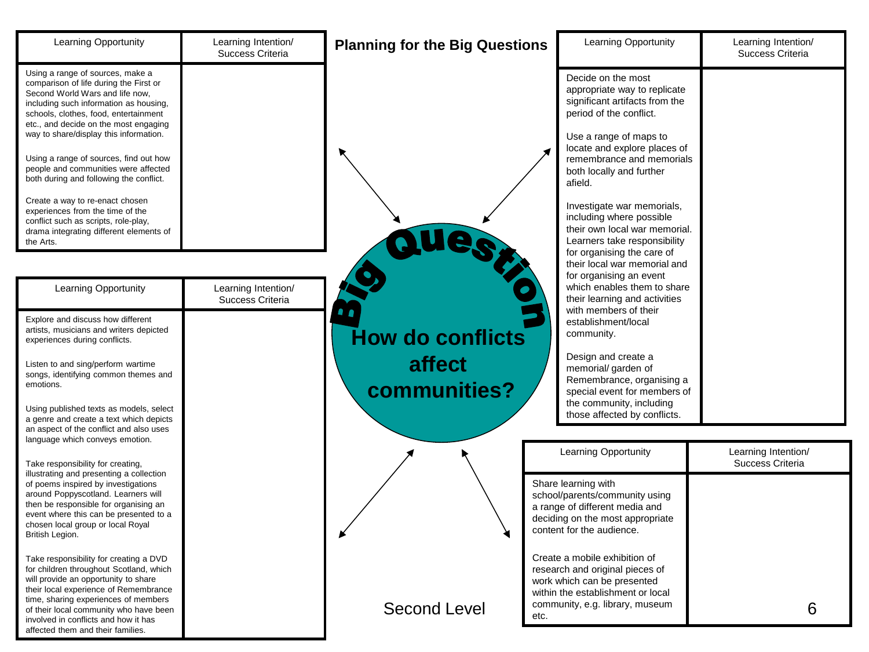| Learning Opportunity                                                                                                                                                                                                                                                                                                              | Learning Intention/<br>Success Criteria | <b>Planning for the Big Questions</b> | Learning Opportunity                                                                                                                                                    | Learning Intention/<br>Success Criteria |
|-----------------------------------------------------------------------------------------------------------------------------------------------------------------------------------------------------------------------------------------------------------------------------------------------------------------------------------|-----------------------------------------|---------------------------------------|-------------------------------------------------------------------------------------------------------------------------------------------------------------------------|-----------------------------------------|
| Using a range of sources, make a<br>comparison of life during the First or<br>Second World Wars and life now,<br>including such information as housing,<br>schools, clothes, food, entertainment<br>etc., and decide on the most engaging                                                                                         |                                         |                                       | Decide on the most<br>appropriate way to replicate<br>significant artifacts from the<br>period of the conflict.                                                         |                                         |
| way to share/display this information.<br>Using a range of sources, find out how<br>people and communities were affected<br>both during and following the conflict.                                                                                                                                                               |                                         |                                       | Use a range of maps to<br>locate and explore places of<br>remembrance and memorials<br>both locally and further<br>afield.                                              |                                         |
| Create a way to re-enact chosen<br>experiences from the time of the<br>conflict such as scripts, role-play,<br>drama integrating different elements of<br>the Arts.                                                                                                                                                               |                                         | 88                                    | Investigate war memorials,<br>including where possible<br>their own local war memorial.<br>Learners take responsibility<br>for organising the care of                   |                                         |
| Learning Opportunity                                                                                                                                                                                                                                                                                                              | Learning Intention/<br>Success Criteria |                                       | their local war memorial and<br>for organising an event<br>which enables them to share<br>their learning and activities                                                 |                                         |
| Explore and discuss how different<br>artists, musicians and writers depicted<br>experiences during conflicts.                                                                                                                                                                                                                     |                                         | <b>How do conflicts</b>               | with members of their<br>establishment/local<br>community.                                                                                                              |                                         |
| Listen to and sing/perform wartime<br>songs, identifying common themes and<br>emotions.                                                                                                                                                                                                                                           |                                         | affect<br>communities?                | Design and create a<br>memorial/ garden of<br>Remembrance, organising a<br>special event for members of                                                                 |                                         |
| Using published texts as models, select<br>a genre and create a text which depicts<br>an aspect of the conflict and also uses<br>language which conveys emotion.                                                                                                                                                                  |                                         |                                       | the community, including<br>those affected by conflicts.                                                                                                                |                                         |
| Take responsibility for creating,<br>illustrating and presenting a collection                                                                                                                                                                                                                                                     |                                         |                                       | Learning Opportunity                                                                                                                                                    | Learning Intention/<br>Success Criteria |
| of poems inspired by investigations<br>around Poppyscotland. Learners will<br>then be responsible for organising an<br>event where this can be presented to a<br>chosen local group or local Royal<br>British Legion.                                                                                                             |                                         |                                       | Share learning with<br>school/parents/community using<br>a range of different media and<br>deciding on the most appropriate<br>content for the audience.                |                                         |
| Take responsibility for creating a DVD<br>for children throughout Scotland, which<br>will provide an opportunity to share<br>their local experience of Remembrance<br>time, sharing experiences of members<br>of their local community who have been<br>involved in conflicts and how it has<br>affected them and their families. |                                         | <b>Second Level</b><br>etc.           | Create a mobile exhibition of<br>research and original pieces of<br>work which can be presented<br>within the establishment or local<br>community, e.g. library, museum | 6                                       |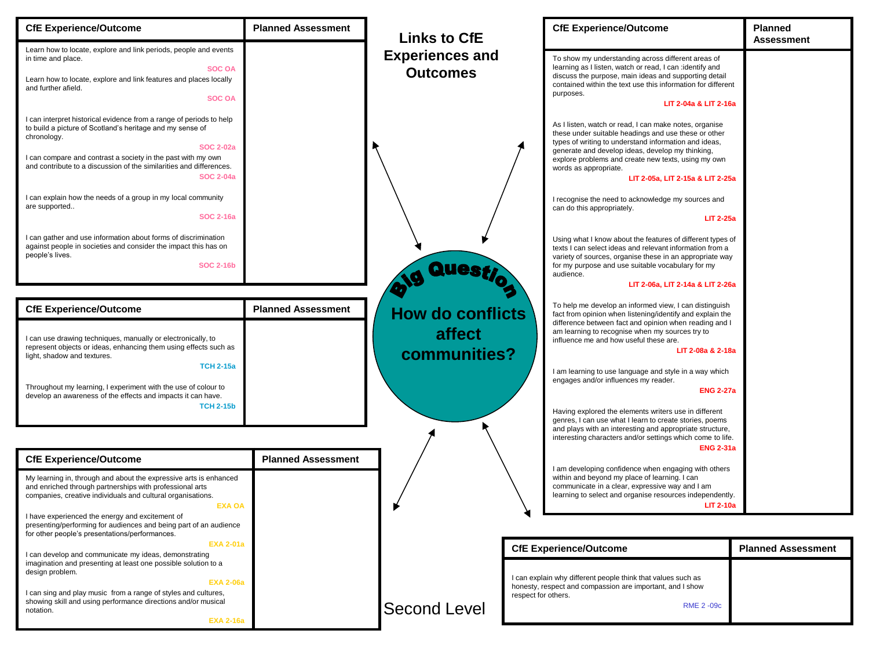| <b>CfE Experience/Outcome</b>                                                                                                                                                                                                                                                                                                                                                                                                       | <b>Planned Assessment</b> | <b>Links to CfE</b>                               | <b>CfE Experience/Outcome</b>                                                                                                                                                                                                                                                                                                                                                                                                                           | Planned<br><b>Assessment</b> |
|-------------------------------------------------------------------------------------------------------------------------------------------------------------------------------------------------------------------------------------------------------------------------------------------------------------------------------------------------------------------------------------------------------------------------------------|---------------------------|---------------------------------------------------|---------------------------------------------------------------------------------------------------------------------------------------------------------------------------------------------------------------------------------------------------------------------------------------------------------------------------------------------------------------------------------------------------------------------------------------------------------|------------------------------|
| Learn how to locate, explore and link periods, people and events<br>in time and place.<br><b>SOC OA</b><br>Learn how to locate, explore and link features and places locally<br>and further afield.<br><b>SOC OA</b>                                                                                                                                                                                                                |                           | <b>Experiences and</b><br><b>Outcomes</b>         | To show my understanding across different areas of<br>learning as I listen, watch or read, I can :identify and<br>discuss the purpose, main ideas and supporting detail<br>contained within the text use this information for different<br>purposes.<br>LIT 2-04a & LIT 2-16a                                                                                                                                                                           |                              |
| I can interpret historical evidence from a range of periods to help<br>to build a picture of Scotland's heritage and my sense of<br>chronology.<br><b>SOC 2-02a</b><br>I can compare and contrast a society in the past with my own<br>and contribute to a discussion of the similarities and differences.<br><b>SOC 2-04a</b><br>I can explain how the needs of a group in my local community<br>are supported<br><b>SOC 2-16a</b> |                           |                                                   | As I listen, watch or read, I can make notes, organise<br>these under suitable headings and use these or other<br>types of writing to understand information and ideas,<br>generate and develop ideas, develop my thinking,<br>explore problems and create new texts, using my own<br>words as appropriate.<br>LIT 2-05a, LIT 2-15a & LIT 2-25a<br>I recognise the need to acknowledge my sources and<br>can do this appropriately.<br><b>LIT 2-25a</b> |                              |
| I can gather and use information about forms of discrimination<br>against people in societies and consider the impact this has on<br>people's lives.<br><b>SOC 2-16b</b>                                                                                                                                                                                                                                                            |                           | Ques                                              | Using what I know about the features of different types of<br>texts I can select ideas and relevant information from a<br>variety of sources, organise these in an appropriate way<br>for my purpose and use suitable vocabulary for my<br>audience.<br>LIT 2-06a, LIT 2-14a & LIT 2-26a                                                                                                                                                                |                              |
| <b>CfE Experience/Outcome</b>                                                                                                                                                                                                                                                                                                                                                                                                       | <b>Planned Assessment</b> |                                                   | To help me develop an informed view, I can distinguish                                                                                                                                                                                                                                                                                                                                                                                                  |                              |
| I can use drawing techniques, manually or electronically, to<br>represent objects or ideas, enhancing them using effects such as<br>light, shadow and textures.<br><b>TCH 2-15a</b><br>Throughout my learning, I experiment with the use of colour to<br>develop an awareness of the effects and impacts it can have.<br><b>TCH 2-15b</b>                                                                                           |                           | <b>How do conflicts</b><br>affect<br>communities? | fact from opinion when listening/identify and explain the<br>difference between fact and opinion when reading and I<br>am learning to recognise when my sources try to<br>influence me and how useful these are.<br>LIT 2-08a & 2-18a<br>I am learning to use language and style in a way which<br>engages and/or influences my reader.<br><b>ENG 2-27a</b><br>Having explored the elements writers use in different                                    |                              |
|                                                                                                                                                                                                                                                                                                                                                                                                                                     |                           |                                                   | genres, I can use what I learn to create stories, poems<br>and plays with an interesting and appropriate structure,<br>interesting characters and/or settings which come to life.                                                                                                                                                                                                                                                                       |                              |
| <b>CfE Experience/Outcome</b>                                                                                                                                                                                                                                                                                                                                                                                                       | <b>Planned Assessment</b> |                                                   | <b>ENG 2-31a</b>                                                                                                                                                                                                                                                                                                                                                                                                                                        |                              |
| My learning in, through and about the expressive arts is enhanced<br>and enriched through partnerships with professional arts<br>companies, creative individuals and cultural organisations.<br><b>EXA OA</b>                                                                                                                                                                                                                       |                           |                                                   | I am developing confidence when engaging with others<br>within and beyond my place of learning. I can<br>communicate in a clear, expressive way and I am<br>learning to select and organise resources independently.<br><b>LIT 2-10a</b>                                                                                                                                                                                                                |                              |
| I have experienced the energy and excitement of<br>presenting/performing for audiences and being part of an audience<br>for other people's presentations/performances.                                                                                                                                                                                                                                                              |                           |                                                   |                                                                                                                                                                                                                                                                                                                                                                                                                                                         |                              |
| <b>EXA 2-01a</b><br>I can develop and communicate my ideas, demonstrating                                                                                                                                                                                                                                                                                                                                                           |                           |                                                   | <b>CfE Experience/Outcome</b>                                                                                                                                                                                                                                                                                                                                                                                                                           | <b>Planned Assessment</b>    |
| imagination and presenting at least one possible solution to a<br>design problem.<br><b>EXA 2-06a</b><br>I can sing and play music from a range of styles and cultures,                                                                                                                                                                                                                                                             |                           |                                                   | I can explain why different people think that values such as<br>honesty, respect and compassion are important, and I show                                                                                                                                                                                                                                                                                                                               |                              |
| showing skill and using performance directions and/or musical<br>notation.<br><b>EXA 2-16a</b>                                                                                                                                                                                                                                                                                                                                      |                           | <b>Second Level</b>                               | respect for others.<br><b>RME 2 -09c</b>                                                                                                                                                                                                                                                                                                                                                                                                                |                              |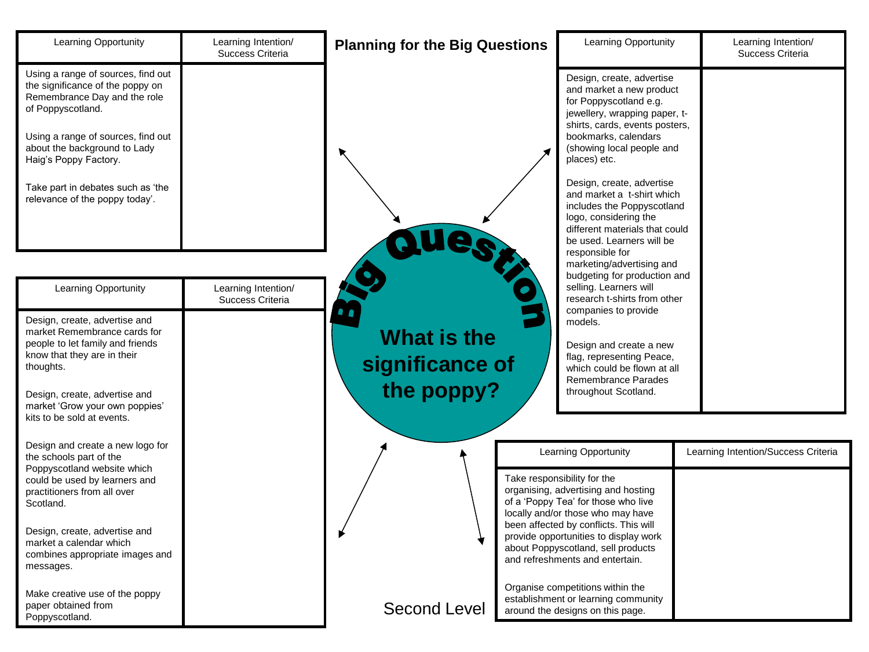| Learning Opportunity                                                                                                                                                                                                                                                                              | Learning Intention/<br>Success Criteria | <b>Planning for the Big Questions</b> | Learning Opportunity                                                                                                                                                                                                                                                                                                                                                                                                        | Learning Intention/<br>Success Criteria |
|---------------------------------------------------------------------------------------------------------------------------------------------------------------------------------------------------------------------------------------------------------------------------------------------------|-----------------------------------------|---------------------------------------|-----------------------------------------------------------------------------------------------------------------------------------------------------------------------------------------------------------------------------------------------------------------------------------------------------------------------------------------------------------------------------------------------------------------------------|-----------------------------------------|
| Using a range of sources, find out<br>the significance of the poppy on<br>Remembrance Day and the role<br>of Poppyscotland.<br>Using a range of sources, find out<br>about the background to Lady<br>Haig's Poppy Factory.<br>Take part in debates such as 'the<br>relevance of the poppy today'. |                                         |                                       | Design, create, advertise<br>and market a new product<br>for Poppyscotland e.g.<br>jewellery, wrapping paper, t-<br>shirts, cards, events posters,<br>bookmarks, calendars<br>(showing local people and<br>places) etc.<br>Design, create, advertise<br>and market a t-shirt which<br>includes the Poppyscotland<br>logo, considering the<br>different materials that could<br>be used. Learners will be<br>responsible for |                                         |
| <b>Learning Opportunity</b><br>Design, create, advertise and<br>market Remembrance cards for                                                                                                                                                                                                      | Learning Intention/<br>Success Criteria | <b>What is the</b>                    | marketing/advertising and<br>budgeting for production and<br>selling. Learners will<br>research t-shirts from other<br>companies to provide<br>models.                                                                                                                                                                                                                                                                      |                                         |
| people to let family and friends<br>know that they are in their<br>thoughts.                                                                                                                                                                                                                      |                                         | significance of                       | Design and create a new<br>flag, representing Peace,<br>which could be flown at all<br>Remembrance Parades                                                                                                                                                                                                                                                                                                                  |                                         |
| Design, create, advertise and<br>market 'Grow your own poppies'<br>kits to be sold at events.                                                                                                                                                                                                     |                                         | the poppy?                            | throughout Scotland.                                                                                                                                                                                                                                                                                                                                                                                                        |                                         |
| Design and create a new logo for<br>the schools part of the<br>Poppyscotland website which                                                                                                                                                                                                        |                                         |                                       | Learning Opportunity                                                                                                                                                                                                                                                                                                                                                                                                        | Learning Intention/Success Criteria     |
| could be used by learners and<br>practitioners from all over<br>Scotland.                                                                                                                                                                                                                         |                                         |                                       | Take responsibility for the<br>organising, advertising and hosting<br>of a 'Poppy Tea' for those who live<br>locally and/or those who may have                                                                                                                                                                                                                                                                              |                                         |
| Design, create, advertise and<br>market a calendar which<br>combines appropriate images and<br>messages.                                                                                                                                                                                          |                                         |                                       | been affected by conflicts. This will<br>provide opportunities to display work<br>about Poppyscotland, sell products<br>and refreshments and entertain.                                                                                                                                                                                                                                                                     |                                         |
| Make creative use of the poppy<br>paper obtained from<br>Poppyscotland.                                                                                                                                                                                                                           |                                         | <b>Second Level</b>                   | Organise competitions within the<br>establishment or learning community<br>around the designs on this page.                                                                                                                                                                                                                                                                                                                 |                                         |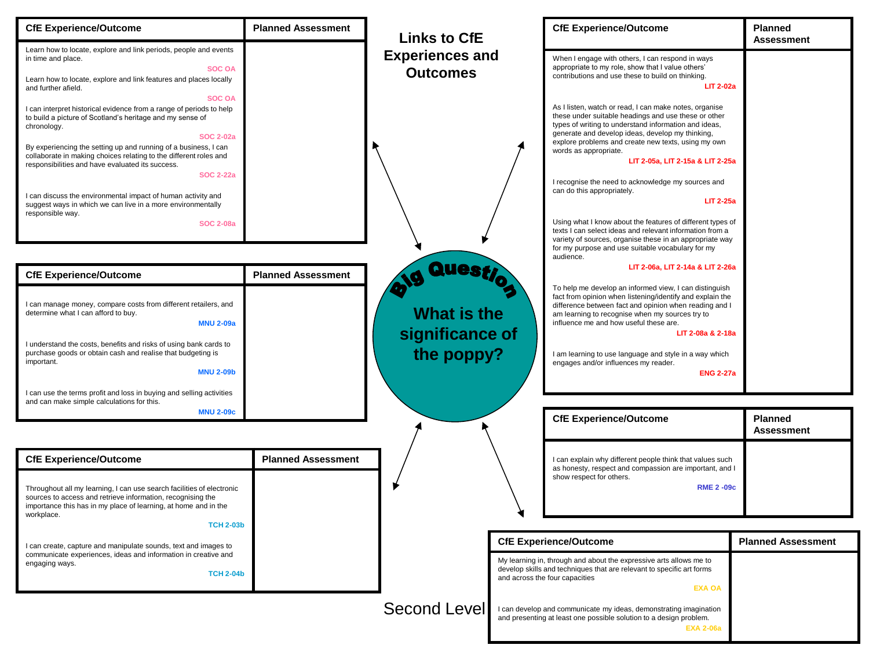| <b>CfE Experience/Outcome</b>                                                                                                                                                                                                                                                                                                                                                    | <b>Planned Assessment</b> | <b>Links to CfE</b>                                 | <b>CfE Experience/Outcome</b>                                                                                                                                                                                                                                                                                                                                                                                         | <b>Planned</b><br><b>Assessment</b> |
|----------------------------------------------------------------------------------------------------------------------------------------------------------------------------------------------------------------------------------------------------------------------------------------------------------------------------------------------------------------------------------|---------------------------|-----------------------------------------------------|-----------------------------------------------------------------------------------------------------------------------------------------------------------------------------------------------------------------------------------------------------------------------------------------------------------------------------------------------------------------------------------------------------------------------|-------------------------------------|
| Learn how to locate, explore and link periods, people and events<br>in time and place.<br><b>SOC OA</b><br>Learn how to locate, explore and link features and places locally<br>and further afield.                                                                                                                                                                              |                           | <b>Experiences and</b><br><b>Outcomes</b>           | When I engage with others, I can respond in ways<br>appropriate to my role, show that I value others'<br>contributions and use these to build on thinking.<br><b>LIT 2-02a</b>                                                                                                                                                                                                                                        |                                     |
| <b>SOC OA</b><br>I can interpret historical evidence from a range of periods to help<br>to build a picture of Scotland's heritage and my sense of<br>chronology.<br><b>SOC 2-02a</b><br>By experiencing the setting up and running of a business, I can<br>collaborate in making choices relating to the different roles and<br>responsibilities and have evaluated its success. |                           |                                                     | As I listen, watch or read, I can make notes, organise<br>these under suitable headings and use these or other<br>types of writing to understand information and ideas,<br>generate and develop ideas, develop my thinking,<br>explore problems and create new texts, using my own<br>words as appropriate.<br>LIT 2-05a, LIT 2-15a & LIT 2-25a                                                                       |                                     |
| <b>SOC 2-22a</b><br>I can discuss the environmental impact of human activity and<br>suggest ways in which we can live in a more environmentally<br>responsible way.                                                                                                                                                                                                              |                           |                                                     | I recognise the need to acknowledge my sources and<br>can do this appropriately.<br><b>LIT 2-25a</b>                                                                                                                                                                                                                                                                                                                  |                                     |
| <b>SOC 2-08a</b>                                                                                                                                                                                                                                                                                                                                                                 |                           |                                                     | Using what I know about the features of different types of<br>texts I can select ideas and relevant information from a<br>variety of sources, organise these in an appropriate way<br>for my purpose and use suitable vocabulary for my                                                                                                                                                                               |                                     |
| <b>CfE Experience/Outcome</b>                                                                                                                                                                                                                                                                                                                                                    | <b>Planned Assessment</b> | Quest                                               | audience.<br>LIT 2-06a, LIT 2-14a & LIT 2-26a                                                                                                                                                                                                                                                                                                                                                                         |                                     |
| I can manage money, compare costs from different retailers, and<br>determine what I can afford to buy.<br><b>MNU 2-09a</b><br>I understand the costs, benefits and risks of using bank cards to<br>purchase goods or obtain cash and realise that budgeting is<br>important.<br><b>MNU 2-09b</b><br>I can use the terms profit and loss in buying and selling activities         |                           | <b>What is the</b><br>significance of<br>the poppy? | To help me develop an informed view, I can distinguish<br>fact from opinion when listening/identify and explain the<br>difference between fact and opinion when reading and I<br>am learning to recognise when my sources try to<br>influence me and how useful these are.<br>LIT 2-08a & 2-18a<br>I am learning to use language and style in a way which<br>engages and/or influences my reader.<br><b>ENG 2-27a</b> |                                     |
| and can make simple calculations for this.<br><b>MNU 2-09c</b>                                                                                                                                                                                                                                                                                                                   |                           |                                                     | <b>CfE Experience/Outcome</b>                                                                                                                                                                                                                                                                                                                                                                                         | <b>Planned</b><br><b>Assessment</b> |
| <b>CfE Experience/Outcome</b><br>Throughout all my learning, I can use search facilities of electronic                                                                                                                                                                                                                                                                           | <b>Planned Assessment</b> |                                                     | I can explain why different people think that values such<br>as honesty, respect and compassion are important, and I<br>show respect for others.<br><b>RME 2 -09c</b>                                                                                                                                                                                                                                                 |                                     |
| sources to access and retrieve information, recognising the<br>importance this has in my place of learning, at home and in the<br>workplace.                                                                                                                                                                                                                                     |                           |                                                     |                                                                                                                                                                                                                                                                                                                                                                                                                       |                                     |
| <b>TCH 2-03b</b><br>I can create, capture and manipulate sounds, text and images to                                                                                                                                                                                                                                                                                              |                           |                                                     | <b>CfE Experience/Outcome</b>                                                                                                                                                                                                                                                                                                                                                                                         | <b>Planned Assessment</b>           |
| communicate experiences, ideas and information in creative and<br>engaging ways.<br><b>TCH 2-04b</b>                                                                                                                                                                                                                                                                             |                           |                                                     | My learning in, through and about the expressive arts allows me to<br>develop skills and techniques that are relevant to specific art forms<br>and across the four capacities<br><b>EXA OA</b>                                                                                                                                                                                                                        |                                     |
|                                                                                                                                                                                                                                                                                                                                                                                  |                           |                                                     | Second Level   I can develop and communicate my ideas, demonstrating imagination<br>and presenting at least one possible solution to a design problem.                                                                                                                                                                                                                                                                |                                     |

**EXA 2-06a**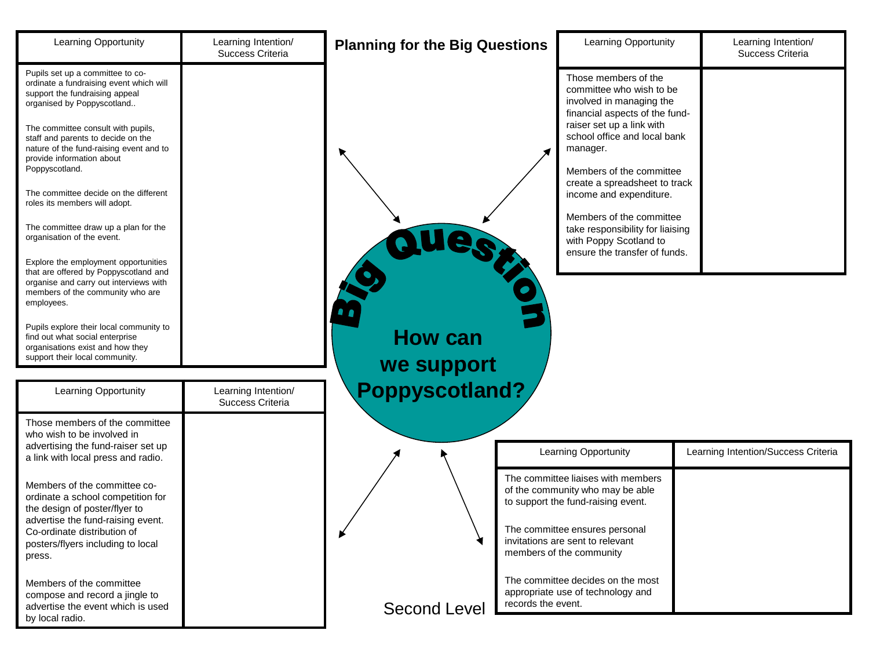| Learning Opportunity                                                                                                                                                                                                                                                                                                                                                                        | Learning Intention/<br>Success Criteria | <b>Planning for the Big Questions</b> | Learning Opportunity                                                                                                                                                                                                                                                                                        | Learning Intention/<br>Success Criteria |
|---------------------------------------------------------------------------------------------------------------------------------------------------------------------------------------------------------------------------------------------------------------------------------------------------------------------------------------------------------------------------------------------|-----------------------------------------|---------------------------------------|-------------------------------------------------------------------------------------------------------------------------------------------------------------------------------------------------------------------------------------------------------------------------------------------------------------|-----------------------------------------|
| Pupils set up a committee to co-<br>ordinate a fundraising event which will<br>support the fundraising appeal<br>organised by Poppyscotland<br>The committee consult with pupils,<br>staff and parents to decide on the<br>nature of the fund-raising event and to<br>provide information about<br>Poppyscotland.<br>The committee decide on the different<br>roles its members will adopt. |                                         |                                       | Those members of the<br>committee who wish to be<br>involved in managing the<br>financial aspects of the fund-<br>raiser set up a link with<br>school office and local bank<br>manager.<br>Members of the committee<br>create a spreadsheet to track<br>income and expenditure.<br>Members of the committee |                                         |
| The committee draw up a plan for the<br>organisation of the event.                                                                                                                                                                                                                                                                                                                          |                                         |                                       | take responsibility for liaising<br>with Poppy Scotland to<br>ensure the transfer of funds.                                                                                                                                                                                                                 |                                         |
| Explore the employment opportunities<br>that are offered by Poppyscotland and<br>organise and carry out interviews with<br>members of the community who are<br>employees.                                                                                                                                                                                                                   |                                         |                                       |                                                                                                                                                                                                                                                                                                             |                                         |
| Pupils explore their local community to<br>find out what social enterprise<br>organisations exist and how they<br>support their local community.                                                                                                                                                                                                                                            |                                         | <b>How can</b><br>we support          |                                                                                                                                                                                                                                                                                                             |                                         |
| Learning Opportunity                                                                                                                                                                                                                                                                                                                                                                        | Learning Intention/                     | Poppyscotland?                        |                                                                                                                                                                                                                                                                                                             |                                         |
|                                                                                                                                                                                                                                                                                                                                                                                             | Success Criteria                        |                                       |                                                                                                                                                                                                                                                                                                             |                                         |
| Those members of the committee<br>who wish to be involved in                                                                                                                                                                                                                                                                                                                                |                                         |                                       |                                                                                                                                                                                                                                                                                                             |                                         |
| advertising the fund-raiser set up<br>a link with local press and radio.                                                                                                                                                                                                                                                                                                                    |                                         |                                       | Learning Opportunity                                                                                                                                                                                                                                                                                        | Learning Intention/Success Criteria     |
| Members of the committee co-<br>ordinate a school competition for<br>the design of poster/flyer to<br>advertise the fund-raising event.                                                                                                                                                                                                                                                     |                                         |                                       | The committee liaises with members<br>of the community who may be able<br>to support the fund-raising event.                                                                                                                                                                                                |                                         |
| Co-ordinate distribution of<br>posters/flyers including to local<br>press.                                                                                                                                                                                                                                                                                                                  |                                         |                                       | The committee ensures personal<br>invitations are sent to relevant<br>members of the community                                                                                                                                                                                                              |                                         |
| Members of the committee<br>compose and record a jingle to<br>advertise the event which is used<br>by local radio.                                                                                                                                                                                                                                                                          |                                         | <b>Second Level</b>                   | The committee decides on the most<br>appropriate use of technology and<br>records the event.                                                                                                                                                                                                                |                                         |